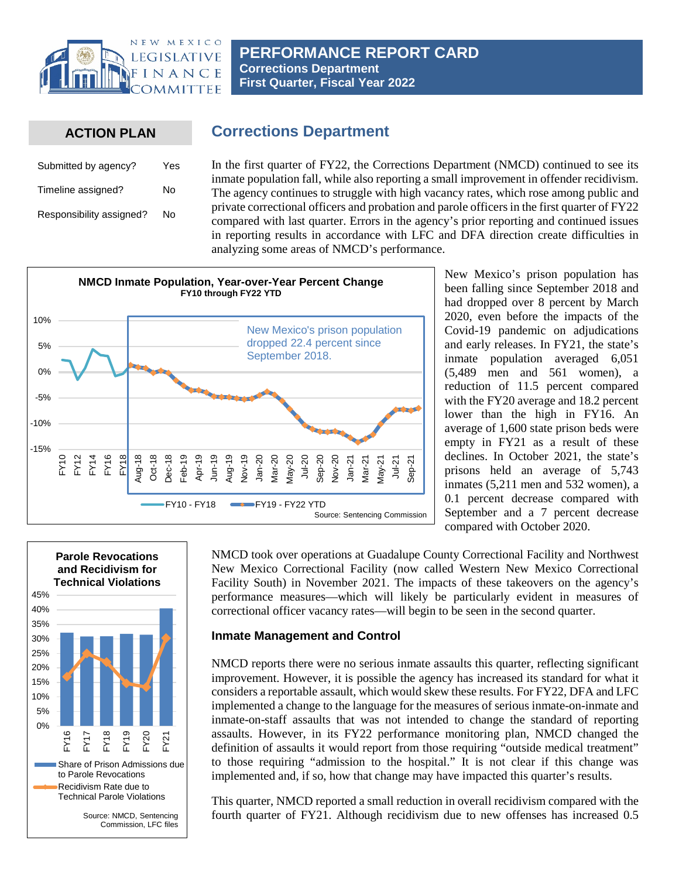

**PERFORMANCE REPORT CARD Corrections Department First Quarter, Fiscal Year 2022**

**Corrections Department**

# **ACTION PLAN**

| Submitted by agency?     | Yes |  |  |
|--------------------------|-----|--|--|
| Timeline assigned?       | N٥  |  |  |
| Responsibility assigned? | N٥  |  |  |

In the first quarter of FY22, the Corrections Department (NMCD) continued to see its inmate population fall, while also reporting a small improvement in offender recidivism. The agency continues to struggle with high vacancy rates, which rose among public and private correctional officers and probation and parole officers in the first quarter of FY22 compared with last quarter. Errors in the agency's prior reporting and continued issues in reporting results in accordance with LFC and DFA direction create difficulties in analyzing some areas of NMCD's performance.



New Mexico's prison population has been falling since September 2018 and had dropped over 8 percent by March 2020, even before the impacts of the Covid-19 pandemic on adjudications and early releases. In FY21, the state's inmate population averaged 6,051 (5,489 men and 561 women), a reduction of 11.5 percent compared with the FY20 average and 18.2 percent lower than the high in FY16. An average of 1,600 state prison beds were empty in FY21 as a result of these declines. In October 2021, the state's prisons held an average of 5,743 inmates (5,211 men and 532 women), a 0.1 percent decrease compared with September and a 7 percent decrease compared with October 2020.



NMCD took over operations at Guadalupe County Correctional Facility and Northwest New Mexico Correctional Facility (now called Western New Mexico Correctional Facility South) in November 2021. The impacts of these takeovers on the agency's performance measures—which will likely be particularly evident in measures of correctional officer vacancy rates—will begin to be seen in the second quarter.

## **Inmate Management and Control**

NMCD reports there were no serious inmate assaults this quarter, reflecting significant improvement. However, it is possible the agency has increased its standard for what it considers a reportable assault, which would skew these results. For FY22, DFA and LFC implemented a change to the language for the measures of serious inmate-on-inmate and inmate-on-staff assaults that was not intended to change the standard of reporting assaults. However, in its FY22 performance monitoring plan, NMCD changed the definition of assaults it would report from those requiring "outside medical treatment" to those requiring "admission to the hospital." It is not clear if this change was implemented and, if so, how that change may have impacted this quarter's results.

This quarter, NMCD reported a small reduction in overall recidivism compared with the fourth quarter of FY21. Although recidivism due to new offenses has increased 0.5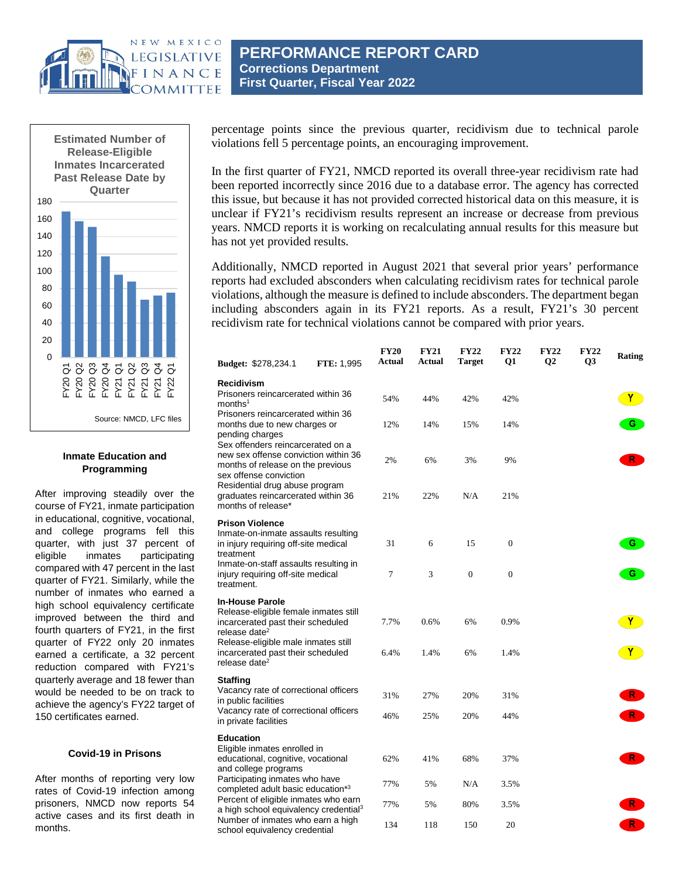



## **Inmate Education and Programming**

After improving steadily over the course of FY21, inmate participation in educational, cognitive, vocational, and college programs fell this quarter, with just 37 percent of eligible inmates participating compared with 47 percent in the last quarter of FY21. Similarly, while the number of inmates who earned a high school equivalency certificate improved between the third and fourth quarters of FY21, in the first quarter of FY22 only 20 inmates earned a certificate, a 32 percent reduction compared with FY21's quarterly average and 18 fewer than would be needed to be on track to achieve the agency's FY22 target of 150 certificates earned.

#### **Covid-19 in Prisons**

After months of reporting very low rates of Covid-19 infection among prisoners, NMCD now reports 54 active cases and its first death in months.

**PERFORMANCE REPORT CARD Corrections Department First Quarter, Fiscal Year 2022**

percentage points since the previous quarter, recidivism due to technical parole violations fell 5 percentage points, an encouraging improvement.

In the first quarter of FY21, NMCD reported its overall three-year recidivism rate had been reported incorrectly since 2016 due to a database error. The agency has corrected this issue, but because it has not provided corrected historical data on this measure, it is unclear if FY21's recidivism results represent an increase or decrease from previous years. NMCD reports it is working on recalculating annual results for this measure but has not yet provided results.

Additionally, NMCD reported in August 2021 that several prior years' performance reports had excluded absconders when calculating recidivism rates for technical parole violations, although the measure is defined to include absconders. The department began including absconders again in its FY21 reports. As a result, FY21's 30 percent recidivism rate for technical violations cannot be compared with prior years.

| Budget: \$278,234.1                                                                                                                                                                                                                                                                                                             | <b>FTE: 1,995</b> | <b>FY20</b><br>Actual | <b>FY21</b><br>Actual | <b>FY22</b><br><b>Target</b> | <b>FY22</b><br>Q1 | <b>FY22</b><br>Q <sub>2</sub> | <b>FY22</b><br>Q3 | Rating       |
|---------------------------------------------------------------------------------------------------------------------------------------------------------------------------------------------------------------------------------------------------------------------------------------------------------------------------------|-------------------|-----------------------|-----------------------|------------------------------|-------------------|-------------------------------|-------------------|--------------|
| <b>Recidivism</b><br>Prisoners reincarcerated within 36                                                                                                                                                                                                                                                                         |                   |                       |                       |                              |                   |                               |                   |              |
| months <sup>1</sup>                                                                                                                                                                                                                                                                                                             |                   | 54%                   | 44%                   | 42%                          | 42%               |                               |                   | Y.           |
| Prisoners reincarcerated within 36<br>months due to new charges or<br>pending charges<br>Sex offenders reincarcerated on a<br>new sex offense conviction within 36<br>months of release on the previous<br>sex offense conviction<br>Residential drug abuse program<br>graduates reincarcerated within 36<br>months of release* |                   | 12%                   | 14%                   | 15%                          | 14%               |                               |                   | $\mathbf{G}$ |
|                                                                                                                                                                                                                                                                                                                                 |                   | 2%                    | 6%                    | 3%                           | 9%                |                               |                   | $\mathbf{R}$ |
|                                                                                                                                                                                                                                                                                                                                 |                   | 21%                   | 22%                   | N/A                          | 21%               |                               |                   |              |
| <b>Prison Violence</b>                                                                                                                                                                                                                                                                                                          |                   |                       |                       |                              |                   |                               |                   |              |
| Inmate-on-inmate assaults resulting<br>in injury requiring off-site medical<br>treatment                                                                                                                                                                                                                                        |                   | 31                    | 6                     | 15                           | $\mathbf{0}$      |                               |                   | G            |
| Inmate-on-staff assaults resulting in<br>injury requiring off-site medical<br>treatment.                                                                                                                                                                                                                                        |                   | 7                     | 3                     | $\overline{0}$               | $\overline{0}$    |                               |                   | G            |
| <b>In-House Parole</b><br>Release-eligible female inmates still                                                                                                                                                                                                                                                                 |                   |                       |                       |                              |                   |                               |                   |              |
| incarcerated past their scheduled<br>release date <sup>2</sup>                                                                                                                                                                                                                                                                  |                   | 7.7%                  | 0.6%                  | 6%                           | 0.9%              |                               |                   | $\mathbf{Y}$ |
| Release-eligible male inmates still<br>incarcerated past their scheduled<br>release date <sup>2</sup>                                                                                                                                                                                                                           |                   | 6.4%                  | 1.4%                  | 6%                           | 1.4%              |                               |                   | $\mathbf{Y}$ |
| Staffing                                                                                                                                                                                                                                                                                                                        |                   |                       |                       |                              |                   |                               |                   |              |
| Vacancy rate of correctional officers<br>in public facilities                                                                                                                                                                                                                                                                   |                   | 31%                   | 27%                   | 20%                          | 31%               |                               |                   | R            |
| Vacancy rate of correctional officers<br>in private facilities                                                                                                                                                                                                                                                                  |                   | 46%                   | 25%                   | 20%                          | 44%               |                               |                   |              |
| <b>Education</b>                                                                                                                                                                                                                                                                                                                |                   |                       |                       |                              |                   |                               |                   |              |
| Eligible inmates enrolled in<br>educational, cognitive, vocational<br>and college programs                                                                                                                                                                                                                                      |                   | 62%                   | 41%                   | 68%                          | 37%               |                               |                   | R            |
| Participating inmates who have<br>completed adult basic education*3                                                                                                                                                                                                                                                             |                   | 77%                   | 5%                    | N/A                          | 3.5%              |                               |                   |              |
| Percent of eligible inmates who earn<br>a high school equivalency credential <sup>3</sup>                                                                                                                                                                                                                                       |                   | 77%                   | 5%                    | 80%                          | 3.5%              |                               |                   | R.           |
| Number of inmates who earn a high<br>school equivalency credential                                                                                                                                                                                                                                                              |                   | 134                   | 118                   | 150                          | 20                |                               |                   | $R^{-}$      |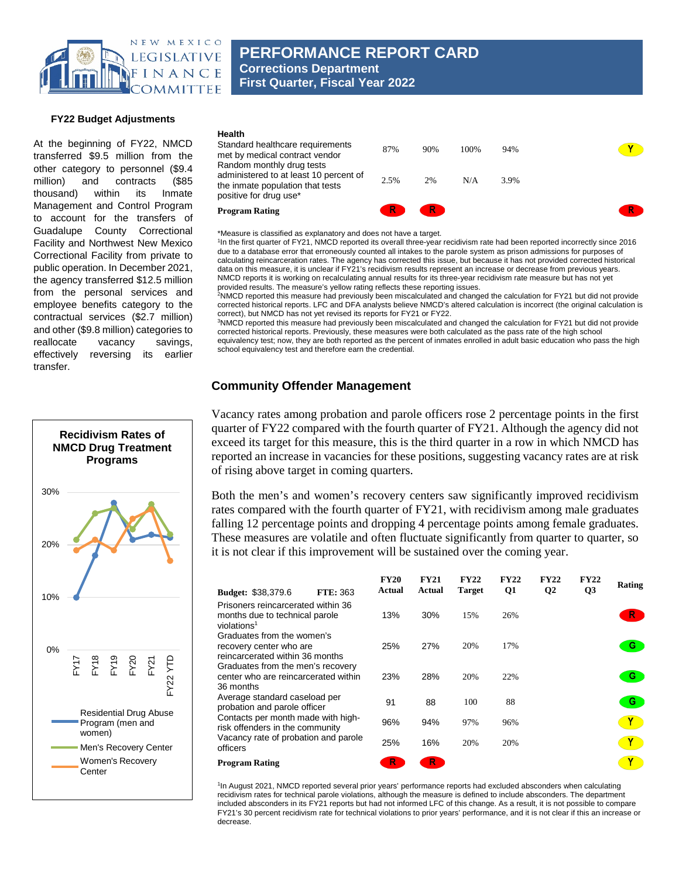

**PERFORMANCE REPORT CARD Corrections Department First Quarter, Fiscal Year 2022**

#### **FY22 Budget Adjustments**

At the beginning of FY22, NMCD transferred \$9.5 million from the other category to personnel (\$9.4 million) and contracts (\$85 thousand) within its Inmate Management and Control Program to account for the transfers of Guadalupe County Correctional Facility and Northwest New Mexico Correctional Facility from private to public operation. In December 2021, the agency transferred \$12.5 million from the personal services and employee benefits category to the contractual services (\$2.7 million) and other (\$9.8 million) categories to reallocate vacancy savings, effectively reversing its earlier transfer.



| <b>Program Rating</b>                                                                                     |      | R.  |       |      |  |
|-----------------------------------------------------------------------------------------------------------|------|-----|-------|------|--|
| administered to at least 10 percent of<br>the inmate population that tests<br>positive for drug use*      | 2.5% | 2%  | N/A   | 3.9% |  |
| Health<br>Standard healthcare requirements<br>met by medical contract vendor<br>Random monthly drug tests | 87%  | 90% | 100\% | 94%  |  |

\*Measure is classified as explanatory and does not have a target.

1In the first quarter of FY21, NMCD reported its overall three-year recidivism rate had been reported incorrectly since 2016 due to a database error that erroneously counted all intakes to the parole system as prison admissions for purposes of calculating reincarceration rates. The agency has corrected this issue, but because it has not provided corrected historical data on this measure, it is unclear if FY21's recidivism results represent an increase or decrease from previous years. NMCD reports it is working on recalculating annual results for its three-year recidivism rate measure but has not yet

provided results. The measure's yellow rating reflects these reporting issues.<br><sup>2</sup>NMCD reported this measure had previously been miscalculated and changed the calculation for FY21 but did not provide corrected historical reports. LFC and DFA analysts believe NMCD's altered calculation is incorrect (the original calculation is

correct), but NMCD has not yet revised its reports for FY21 or FY22.<br><sup>3</sup>NMCD reported this measure had previously been miscalculated and changed the calculation for FY21 but did not provide corrected historical reports. Previously, these measures were both calculated as the pass rate of the high school equivalency test; now, they are both reported as the percent of inmates enrolled in adult basic education who pass the high school equivalency test and therefore earn the credential.

### **Community Offender Management**

Vacancy rates among probation and parole officers rose 2 percentage points in the first quarter of FY22 compared with the fourth quarter of FY21. Although the agency did not exceed its target for this measure, this is the third quarter in a row in which NMCD has reported an increase in vacancies for these positions, suggesting vacancy rates are at risk of rising above target in coming quarters.

Both the men's and women's recovery centers saw significantly improved recidivism rates compared with the fourth quarter of FY21, with recidivism among male graduates falling 12 percentage points and dropping 4 percentage points among female graduates. These measures are volatile and often fluctuate significantly from quarter to quarter, so it is not clear if this improvement will be sustained over the coming year.

| <b>Budget: \$38,379.6</b>                                                                       | <b>FTE: 363</b> | <b>FY20</b><br>Actual | <b>FY21</b><br>Actual | <b>FY22</b><br><b>Target</b> | <b>FY22</b><br>Q1 | <b>FY22</b><br>$\mathbf{Q}$ | <b>FY22</b><br>Q <sub>3</sub> | Rating |
|-------------------------------------------------------------------------------------------------|-----------------|-----------------------|-----------------------|------------------------------|-------------------|-----------------------------|-------------------------------|--------|
| Prisoners reincarcerated within 36<br>months due to technical parole<br>violations <sup>1</sup> |                 | 13%                   | 30%                   | 15%                          | 26%               |                             |                               | R.     |
| Graduates from the women's<br>recovery center who are<br>reincarcerated within 36 months        |                 | 25%                   | 27%                   | 20%                          | 17%               |                             |                               | G      |
| Graduates from the men's recovery<br>center who are reincarcerated within<br>36 months          |                 | 23%                   | 28%                   | 20%                          | 22%               |                             |                               | G.     |
| Average standard caseload per<br>probation and parole officer                                   |                 | 91                    | 88                    | 100                          | 88                |                             |                               | G      |
| Contacts per month made with high-<br>risk offenders in the community                           |                 | 96%                   | 94%                   | 97%                          | 96%               |                             |                               |        |
| Vacancy rate of probation and parole<br>officers                                                |                 | 25%                   | 16%                   | 20%                          | 20%               |                             |                               |        |
| <b>Program Rating</b>                                                                           |                 | R                     | R                     |                              |                   |                             |                               |        |

1In August 2021, NMCD reported several prior years' performance reports had excluded absconders when calculating recidivism rates for technical parole violations, although the measure is defined to include absconders. The department included absconders in its FY21 reports but had not informed LFC of this change. As a result, it is not possible to compare FY21's 30 percent recidivism rate for technical violations to prior years' performance, and it is not clear if this an increase or decrease.